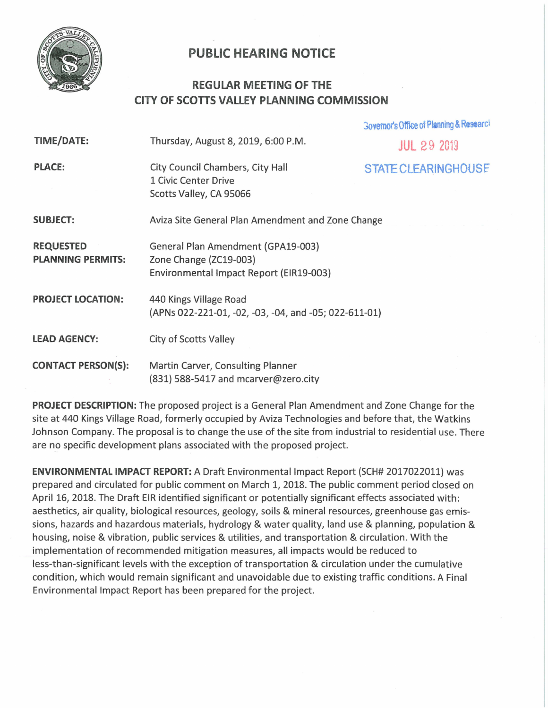

## **PUBLIC HEARING NOTICE**

## **REGULAR MEETING OF THE CITY OF SCOTTS VALLEY PLANNING COMMISSION**

|                                              |                                                                                                         | Governor's Office of Planning & Research |
|----------------------------------------------|---------------------------------------------------------------------------------------------------------|------------------------------------------|
| <b>TIME/DATE:</b>                            | Thursday, August 8, 2019, 6:00 P.M.                                                                     | <b>JUL 29 2013</b>                       |
| <b>PLACE:</b>                                | City Council Chambers, City Hall<br>1 Civic Center Drive<br>Scotts Valley, CA 95066                     | <b>STATE CLEARINGHOUSE</b>               |
| <b>SUBJECT:</b>                              | Aviza Site General Plan Amendment and Zone Change                                                       |                                          |
| <b>REQUESTED</b><br><b>PLANNING PERMITS:</b> | General Plan Amendment (GPA19-003)<br>Zone Change (ZC19-003)<br>Environmental Impact Report (EIR19-003) |                                          |
| <b>PROJECT LOCATION:</b>                     | 440 Kings Village Road<br>(APNs 022-221-01, -02, -03, -04, and -05; 022-611-01)                         |                                          |
| <b>LEAD AGENCY:</b>                          | <b>City of Scotts Valley</b>                                                                            |                                          |
| <b>CONTACT PERSON(S):</b>                    | Martin Carver, Consulting Planner<br>(831) 588-5417 and mcarver@zero.city                               |                                          |

**PROJECT DESCRIPTION:** The proposed project is a General Plan Amendment and Zone Change for the site at 440 Kings Village Road, formerly occupied by Aviza Technologies and before that, the Watkins Johnson Company. The proposal is to change the use of the site from industrial to residential use. There are no specific development plans associated with the proposed project.

**ENVIRONMENTAL IMPACT REPORT:** A Draft Environmental Impact Report (SCH# 2017022011) was prepared and circulated for public comment on March 1, 2018. The public comment period closed on April 16, 2018. The Draft EIR identified significant or potentially significant effects associated with: aesthetics, air quality, biological resources, geology, soils & mineral resources, greenhouse gas emissions, hazards and hazardous materials, hydrology & water quality, land use & planning, population & housing, noise & vibration, public services & utilities, and transportation & circulation. With the implementation of recommended mitigation measures, all impacts would be reduced to less-than-significant levels with the exception of transportation & circulation under the cumulative condition, which would remain significant and unavoidable due to existing traffic conditions. A Final Environmental Impact Report has been prepared for the project.